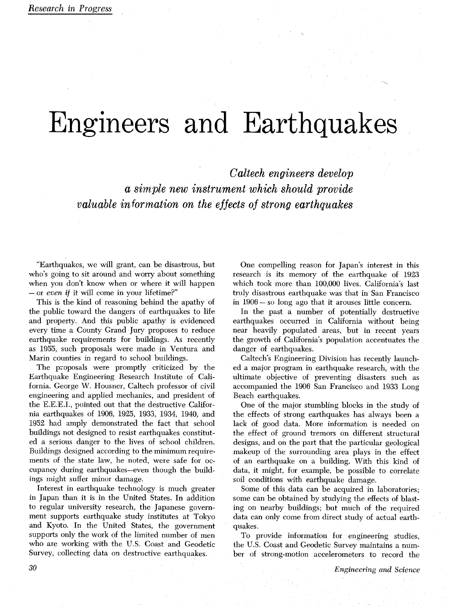## Engineers and Earth

*Caltech engineers develop a simple new instrument which should provide valuable information on the effects of strong earthquakes* 

"Earthquakes, we will grant, can be disastrous, but who's going to sit around and worry about something when you don't know when or where it will happen - or *even* if it will come in your lifetime?"

This is the kind of reasoning behind the apathy of the public toward the dangers of earthquakes to life and property. And this public apathy is evidenced every time a County Grand Jury proposes to reduce earthquake requirements for buildings. As recently as 1955, such proposals were made in Ventura and Marin counties in regard to school buildings.

The proposals were promptly criticized by the Earthquake Engineering Research Institute of California. George W. Housner, Caltech professor of civil engineering and applied mechanics, and president of the E.E.E.I., pointed out that the destructive California earthquakes of 1906, 1925, 1933, 1934, 1940, and 1952 had amply demonstrated the fact that school buildings not designed to resist earthquakes constituted a serious danger to the lives of school children. Buildings designed according to the minimum requirements of the state law, he noted, were safe for occupancy during earthquakes-even though the buildings might suffer minor damage.

Interest in earthquake technology is much greater in Japan than it is in the United States. In addition to regular university research, the Japanese government supports earthquake study institutes at Tokyo and Kyoto. In the United States, the government supports only the work of the limited number of men who are working with the U.S. Coast and Geodetic Survey, collecting data on destructive earthquakes.

One compelling reason for Japan's interest in this research is its memory of the earthquake of 1923 which took more than 100,000 lives. California's last truly disastrous earthquake was that in San Francisco<br>in 1906 – so long ago that it arouses little concern.

In the past a number of potentially destructive earthquakes occurred in California without being near heavily populated areas, but in recent years the growth of California's population accentuates the danger of earthquakes.

Caltech's Engineering Division has recently launched a major program in earthquake research, with the ultimate objective of preventing disasters such as accompanied the 1906 San Francisco and 1933 Long Beach earthquakes.

One of the major stumbling blocks in the study of the effects of strong earthquakes has always been a lack of good data. More information is needed on the effect of ground tremors on different structural designs, and on the part that the particular geological makeup of the surrounding area plays in the effect of an earthquake on a building. With this kind of data, it might, for example, be possible to correlate soil conditions with earthquake damage.

Some of this data can be acquired in laboratories; some can be obtained by studying the effects of blasting on nearby buildings; but much of the required data can only come from direct study of actual earthquakes.

To provide information for engineering studies, the U.S. Coast and Geodetic Survey maintains a number of strong-motion accelerometers to record the